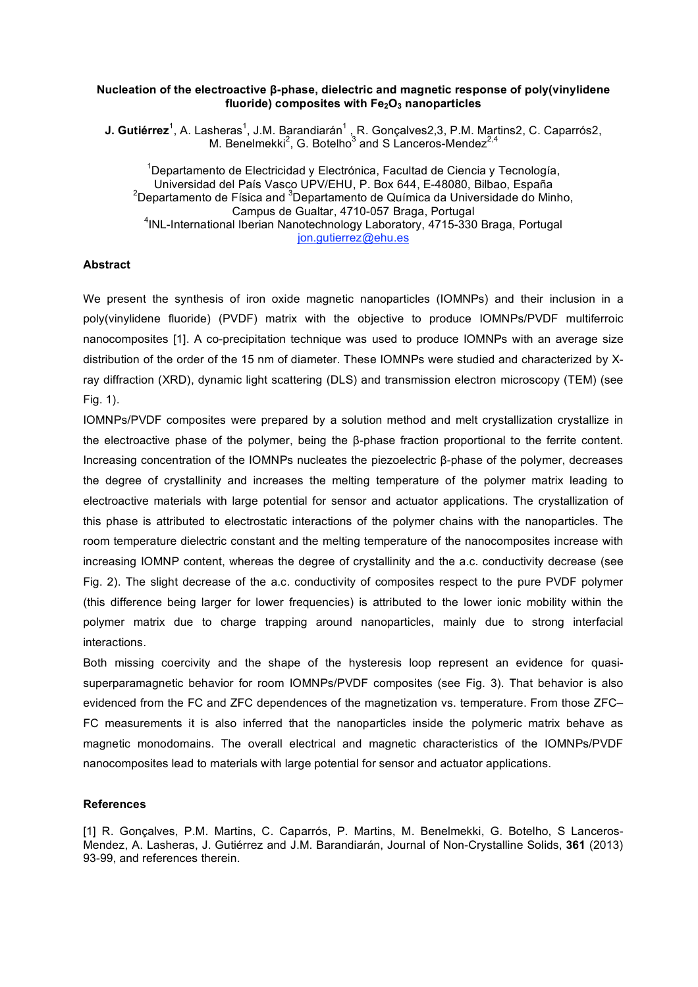## **Nucleation of the electroactive β-phase, dielectric and magnetic response of poly(vinylidene fluoride)** composites with  $Fe<sub>2</sub>O<sub>3</sub>$  nanoparticles

**J. Gutiérrez**<sup>1</sup>, A. Lasheras<sup>1</sup>, J.M. Barandiarán<sup>1</sup>, R. Gonçalves2,3, P.M. Martins2, C. Caparrós2, M. Benelmekki<sup>2</sup>, G. Botelho<sup>3</sup> and S Lanceros-Mendez<sup>2,4</sup>

<sup>1</sup>Departamento de Electricidad y Electrónica, Facultad de Ciencia y Tecnología, Universidad del País Vasco UPV/EHU, P. Box 644, E-48080, Bilbao, España <sup>2</sup>Departamento de Física and <sup>3</sup>Departamento de Química da Universidade do Minho, Campus de Gualtar, 4710-057 Braga, Portugal 4 INL-International Iberian Nanotechnology Laboratory, 4715-330 Braga, Portugal jon.gutierrez@ehu.es

## **Abstract**

We present the synthesis of iron oxide magnetic nanoparticles (IOMNPs) and their inclusion in a poly(vinylidene fluoride) (PVDF) matrix with the objective to produce IOMNPs/PVDF multiferroic nanocomposites [1]. A co-precipitation technique was used to produce IOMNPs with an average size distribution of the order of the 15 nm of diameter. These IOMNPs were studied and characterized by Xray diffraction (XRD), dynamic light scattering (DLS) and transmission electron microscopy (TEM) (see Fig. 1).

IOMNPs/PVDF composites were prepared by a solution method and melt crystallization crystallize in the electroactive phase of the polymer, being the β-phase fraction proportional to the ferrite content. Increasing concentration of the IOMNPs nucleates the piezoelectric β-phase of the polymer, decreases the degree of crystallinity and increases the melting temperature of the polymer matrix leading to electroactive materials with large potential for sensor and actuator applications. The crystallization of this phase is attributed to electrostatic interactions of the polymer chains with the nanoparticles. The room temperature dielectric constant and the melting temperature of the nanocomposites increase with increasing IOMNP content, whereas the degree of crystallinity and the a.c. conductivity decrease (see Fig. 2). The slight decrease of the a.c. conductivity of composites respect to the pure PVDF polymer (this difference being larger for lower frequencies) is attributed to the lower ionic mobility within the polymer matrix due to charge trapping around nanoparticles, mainly due to strong interfacial interactions.

Both missing coercivity and the shape of the hysteresis loop represent an evidence for quasisuperparamagnetic behavior for room IOMNPs/PVDF composites (see Fig. 3). That behavior is also evidenced from the FC and ZFC dependences of the magnetization vs. temperature. From those ZFC– FC measurements it is also inferred that the nanoparticles inside the polymeric matrix behave as magnetic monodomains. The overall electrical and magnetic characteristics of the IOMNPs/PVDF nanocomposites lead to materials with large potential for sensor and actuator applications.

## **References**

[1] R. Gonçalves, P.M. Martins, C. Caparrós, P. Martins, M. Benelmekki, G. Botelho, S Lanceros-Mendez, A. Lasheras, J. Gutiérrez and J.M. Barandiarán, Journal of Non-Crystalline Solids, **361** (2013) 93-99, and references therein.